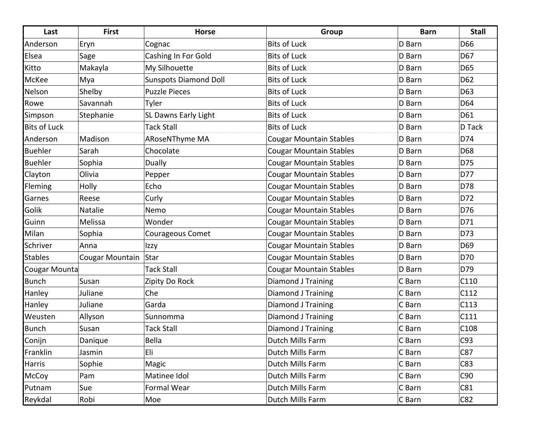| Last                | <b>First</b>    | <b>Horse</b>                 | Group                          | <b>Barn</b> | <b>Stall</b> |
|---------------------|-----------------|------------------------------|--------------------------------|-------------|--------------|
| Anderson            | Eryn            | Cognac                       | <b>Bits of Luck</b>            | D Barn      | D66          |
| Elsea               | Sage            | Cashing In For Gold          | <b>Bits of Luck</b>            | D Barn      | D67          |
| Kitto               | Makayla         | My Silhouette                | <b>Bits of Luck</b>            | D Barn      | D65          |
| McKee               | Mya             | <b>Sunspots Diamond Doll</b> | <b>Bits of Luck</b>            | D Barn      | D62          |
| Nelson              | Shelby          | <b>Puzzle Pieces</b>         | <b>Bits of Luck</b>            | D Barn      | D63          |
| Rowe                | Savannah        | Tyler                        | <b>Bits of Luck</b>            | D Barn      | D64          |
| Simpson             | Stephanie       | <b>SL Dawns Early Light</b>  | <b>Bits of Luck</b>            | D Barn      | D61          |
| <b>Bits of Luck</b> |                 | <b>Tack Stall</b>            | <b>Bits of Luck</b>            | D Barn      | D Tack       |
| Anderson            | Madison         | ARoseNThyme MA               | <b>Cougar Mountain Stables</b> | D Barn      | D74          |
| <b>Buehler</b>      | Sarah           | Chocolate                    | <b>Cougar Mountain Stables</b> | D Barn      | D68          |
| Buehler             | Sophia          | <b>Dually</b>                | <b>Cougar Mountain Stables</b> | D Barn      | D75          |
| Clayton             | Olivia          | Pepper                       | <b>Cougar Mountain Stables</b> | D Barn      | D77          |
| Fleming             | Holly           | Echo                         | <b>Cougar Mountain Stables</b> | D Barn      | D78          |
| Garnes              | Reese           | Curly                        | <b>Cougar Mountain Stables</b> | D Barn      | D72          |
| Golik               | Natalie         | Nemo                         | <b>Cougar Mountain Stables</b> | D Barn      | D76          |
| Guinn               | Melissa         | Wonder                       | <b>Cougar Mountain Stables</b> | D Barn      | D71          |
| Milan               | Sophia          | Courageous Comet             | <b>Cougar Mountain Stables</b> | D Barn      | D73          |
| Schriver            | Anna            | Izzy                         | <b>Cougar Mountain Stables</b> | D Barn      | D69          |
| <b>Stables</b>      | Cougar Mountain | Star                         | <b>Cougar Mountain Stables</b> | D Barn      | D70          |
| Cougar Mounta       |                 | <b>Tack Stall</b>            | <b>Cougar Mountain Stables</b> | D Barn      | D79          |
| Bunch               | Susan           | Zipity Do Rock               | Diamond J Training             | C Barn      | C110         |
| Hanley              | Juliane         | Che                          | Diamond J Training             | C Barn      | C112         |
| Hanley              | Juliane         | Garda                        | <b>Diamond J Training</b>      | C Barn      | C113         |
| Weusten             | Allyson         | Sunnomma                     | <b>Diamond J Training</b>      | C Barn      | C111         |
| Bunch               | Susan           | <b>Tack Stall</b>            | <b>Diamond J Training</b>      | C Barn      | C108         |
| Conijn              | Danique         | Bella                        | Dutch Mills Farm               | C Barn      | C93          |
| Franklin            | Jasmin          | Eli                          | Dutch Mills Farm               | C Barn      | C87          |
| Harris              | Sophie          | Magic                        | Dutch Mills Farm               | C Barn      | C83          |
| McCoy               | Pam             | Matinee Idol                 | Dutch Mills Farm               | C Barn      | C90          |
| Putnam              | Sue             | Formal Wear                  | Dutch Mills Farm               | C Barn      | C81          |
| Reykdal             | Robi            | Moe                          | Dutch Mills Farm               | C Barn      | C82          |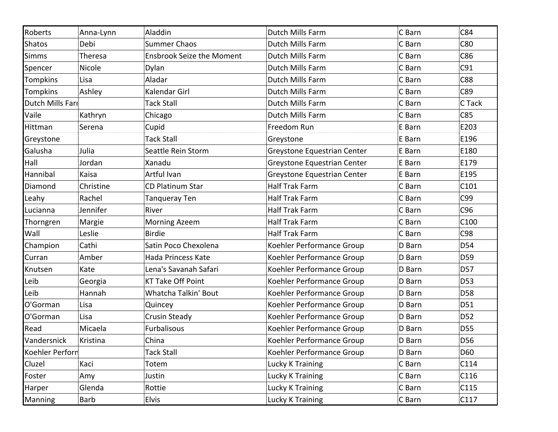| Roberts          | Anna-Lynn | Aladdin                          | Dutch Mills Farm            | C Barn | C84             |
|------------------|-----------|----------------------------------|-----------------------------|--------|-----------------|
| <b>Shatos</b>    | Debi      | <b>Summer Chaos</b>              | Dutch Mills Farm            | C Barn | C80             |
| <b>Simms</b>     | Theresa   | <b>Ensbrook Seize the Moment</b> | Dutch Mills Farm            | C Barn | C86             |
| Spencer          | Nicole    | Dylan                            | Dutch Mills Farm            | C Barn | C91             |
| <b>Tompkins</b>  | Lisa      | Aladar                           | Dutch Mills Farm            | C Barn | C88             |
| <b>Tompkins</b>  | Ashley    | Kalendar Girl                    | Dutch Mills Farm            | C Barn | C89             |
| Dutch Mills Farr |           | <b>Tack Stall</b>                | Dutch Mills Farm            | C Barn | C Tack          |
| Vaile            | Kathryn   | Chicago                          | Dutch Mills Farm            | C Barn | C85             |
| Hittman          | Serena    | Cupid                            | Freedom Run                 | E Barn | E203            |
| Greystone        |           | <b>Tack Stall</b>                | Greystone                   | E Barn | E196            |
| Galusha          | Julia     | Seattle Rein Storm               | Greystone Equestrian Center | E Barn | E180            |
| Hall             | Jordan    | Xanadu                           | Greystone Equestrian Center | E Barn | E179            |
| Hannibal         | Kaisa     | Artful Ivan                      | Greystone Equestrian Center | E Barn | E195            |
| Diamond          | Christine | <b>CD Platinum Star</b>          | <b>Half Trak Farm</b>       | C Barn | C101            |
| Leahy            | Rachel    | Tanqueray Ten                    | <b>Half Trak Farm</b>       | C Barn | C99             |
| Lucianna         | Jennifer  | River                            | <b>Half Trak Farm</b>       | C Barn | C96             |
| Thorngren        | Margie    | <b>Morning Azeem</b>             | Half Trak Farm              | C Barn | C100            |
| Wall             | Leslie    | <b>Birdie</b>                    | <b>Half Trak Farm</b>       | C Barn | C98             |
| Champion         | Cathi     | Satin Poco Chexolena             | Koehler Performance Group   | D Barn | D54             |
| Curran           | Amber     | <b>Hada Princess Kate</b>        | Koehler Performance Group   | D Barn | D <sub>59</sub> |
| Knutsen          | Kate      | Lena's Savanah Safari            | Koehler Performance Group   | D Barn | D57             |
| Leib             | Georgia   | <b>KT Take Off Point</b>         | Koehler Performance Group   | D Barn | D <sub>53</sub> |
| Leib             | Hannah    | Whatcha Talkin' Bout             | Koehler Performance Group   | D Barn | D58             |
| O'Gorman         | Lisa      | Quincey                          | Koehler Performance Group   | D Barn | D51             |
| O'Gorman         | Lisa      | <b>Crusin Steady</b>             | Koehler Performance Group   | D Barn | D52             |
| Read             | Micaela   | Furbalisous                      | Koehler Performance Group   | D Barn | D55             |
| Vandersnick      | Kristina  | China                            | Koehler Performance Group   | D Barn | D56             |
| Koehler Perforn  |           | <b>Tack Stall</b>                | Koehler Performance Group   | D Barn | D60             |
| Cluzel           | Kaci      | Totem                            | Lucky K Training            | C Barn | C114            |
| Foster           | Amy       | Justin                           | Lucky K Training            | C Barn | C116            |
| Harper           | Glenda    | Rottie                           | Lucky K Training            | C Barn | C115            |
| Manning          | Barb      | Elvis                            | Lucky K Training            | C Barn | C117            |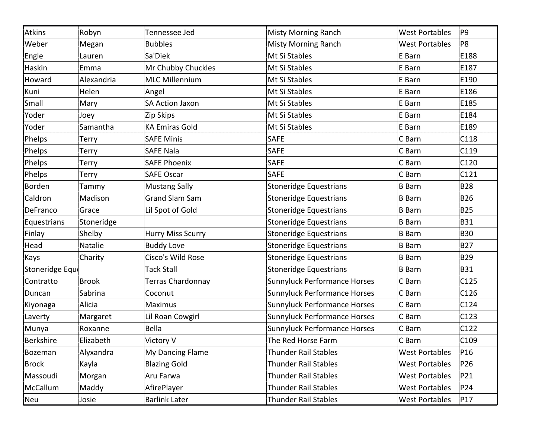| Atkins         | Robyn        | Tennessee Jed            | <b>Misty Morning Ranch</b>    | <b>West Portables</b> | P9              |
|----------------|--------------|--------------------------|-------------------------------|-----------------------|-----------------|
| Weber          | Megan        | <b>Bubbles</b>           | <b>Misty Morning Ranch</b>    | <b>West Portables</b> | P8              |
| Engle          | Lauren       | Sa'Diek                  | Mt Si Stables                 | E Barn                | E188            |
| Haskin         | Emma         | Mr Chubby Chuckles       | Mt Si Stables                 | E Barn                | E187            |
| Howard         | Alexandria   | <b>MLC Millennium</b>    | Mt Si Stables                 | E Barn                | E190            |
| Kuni           | Helen        | Angel                    | Mt Si Stables                 | E Barn                | E186            |
| Small          | Mary         | <b>SA Action Jaxon</b>   | Mt Si Stables                 | E Barn                | E185            |
| Yoder          | Joey         | Zip Skips                | Mt Si Stables                 | E Barn                | E184            |
| Yoder          | Samantha     | <b>KA Emiras Gold</b>    | Mt Si Stables                 | E Barn                | E189            |
| Phelps         | Terry        | <b>SAFE Minis</b>        | <b>SAFE</b>                   | C Barn                | C118            |
| Phelps         | Terry        | <b>SAFE Nala</b>         | <b>SAFE</b>                   | C Barn                | C119            |
| Phelps         | <b>Terry</b> | <b>SAFE Phoenix</b>      | <b>SAFE</b>                   | C Barn                | C120            |
| Phelps         | <b>Terry</b> | <b>SAFE Oscar</b>        | <b>SAFE</b>                   | C Barn                | C121            |
| Borden         | Tammy        | <b>Mustang Sally</b>     | Stoneridge Equestrians        | <b>B</b> Barn         | <b>B28</b>      |
| Caldron        | Madison      | <b>Grand Slam Sam</b>    | <b>Stoneridge Equestrians</b> | <b>B</b> Barn         | <b>B26</b>      |
| DeFranco       | Grace        | Lil Spot of Gold         | <b>Stoneridge Equestrians</b> | <b>B</b> Barn         | <b>B25</b>      |
| Equestrians    | Stoneridge   |                          | Stoneridge Equestrians        | <b>B</b> Barn         | <b>B31</b>      |
| Finlay         | Shelby       | <b>Hurry Miss Scurry</b> | Stoneridge Equestrians        | <b>B</b> Barn         | <b>B30</b>      |
| Head           | Natalie      | <b>Buddy Love</b>        | <b>Stoneridge Equestrians</b> | <b>B</b> Barn         | <b>B27</b>      |
| Kays           | Charity      | Cisco's Wild Rose        | <b>Stoneridge Equestrians</b> | <b>B</b> Barn         | <b>B29</b>      |
| Stoneridge Equ |              | <b>Tack Stall</b>        | Stoneridge Equestrians        | <b>B</b> Barn         | <b>B31</b>      |
| Contratto      | <b>Brook</b> | Terras Chardonnay        | Sunnyluck Performance Horses  | C Barn                | C125            |
| Duncan         | Sabrina      | Coconut                  | Sunnyluck Performance Horses  | C Barn                | C126            |
| Kiyonaga       | Alicia       | <b>Maximus</b>           | Sunnyluck Performance Horses  | C Barn                | C124            |
| Laverty        | Margaret     | Lil Roan Cowgirl         | Sunnyluck Performance Horses  | C Barn                | C123            |
| Munya          | Roxanne      | Bella                    | Sunnyluck Performance Horses  | C Barn                | C122            |
| Berkshire      | Elizabeth    | Victory V                | The Red Horse Farm            | C Barn                | C109            |
| Bozeman        | Alyxandra    | My Dancing Flame         | <b>Thunder Rail Stables</b>   | <b>West Portables</b> | P <sub>16</sub> |
| Brock          | Kayla        | <b>Blazing Gold</b>      | <b>Thunder Rail Stables</b>   | <b>West Portables</b> | P26             |
| Massoudi       | Morgan       | Aru Farwa                | <b>Thunder Rail Stables</b>   | <b>West Portables</b> | P21             |
| McCallum       | Maddy        | AfirePlayer              | <b>Thunder Rail Stables</b>   | <b>West Portables</b> | P24             |
| Neu            | Josie        | <b>Barlink Later</b>     | <b>Thunder Rail Stables</b>   | <b>West Portables</b> | P17             |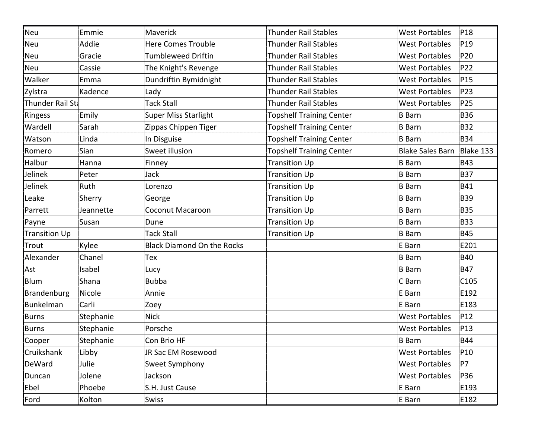| Neu                  | Emmie     | Maverick                          | <b>Thunder Rail Stables</b>     | <b>West Portables</b>   | P18             |
|----------------------|-----------|-----------------------------------|---------------------------------|-------------------------|-----------------|
| Neu                  | Addie     | <b>Here Comes Trouble</b>         | <b>Thunder Rail Stables</b>     | <b>West Portables</b>   | P <sub>19</sub> |
| Neu                  | Gracie    | <b>Tumbleweed Driftin</b>         | <b>Thunder Rail Stables</b>     | <b>West Portables</b>   | P20             |
| Neu                  | Cassie    | The Knight's Revenge              | <b>Thunder Rail Stables</b>     | <b>West Portables</b>   | P22             |
| Walker               | Emma      | Dundriftin Bymidnight             | Thunder Rail Stables            | <b>West Portables</b>   | P <sub>15</sub> |
| Zylstra              | Kadence   | Lady                              | <b>Thunder Rail Stables</b>     | <b>West Portables</b>   | P23             |
| Thunder Rail Sta     |           | <b>Tack Stall</b>                 | <b>Thunder Rail Stables</b>     | <b>West Portables</b>   | P25             |
| Ringess              | Emily     | <b>Super Miss Starlight</b>       | <b>Topshelf Training Center</b> | <b>B</b> Barn           | <b>B36</b>      |
| Wardell              | Sarah     | Zippas Chippen Tiger              | <b>Topshelf Training Center</b> | <b>B</b> Barn           | <b>B32</b>      |
| Watson               | Linda     | In Disguise                       | <b>Topshelf Training Center</b> | <b>B</b> Barn           | <b>B34</b>      |
| Romero               | Sian      | Sweet illusion                    | <b>Topshelf Training Center</b> | <b>Blake Sales Barn</b> | Blake 133       |
| Halbur               | Hanna     | Finney                            | <b>Transition Up</b>            | <b>B</b> Barn           | <b>B43</b>      |
| Jelinek              | Peter     | Jack                              | <b>Transition Up</b>            | <b>B</b> Barn           | <b>B37</b>      |
| Jelinek              | Ruth      | Lorenzo                           | <b>Transition Up</b>            | <b>B</b> Barn           | <b>B41</b>      |
| Leake                | Sherry    | George                            | <b>Transition Up</b>            | <b>B</b> Barn           | <b>B39</b>      |
| Parrett              | Jeannette | <b>Coconut Macaroon</b>           | <b>Transition Up</b>            | <b>B</b> Barn           | <b>B35</b>      |
| Payne                | Susan     | Dune                              | <b>Transition Up</b>            | <b>B</b> Barn           | <b>B33</b>      |
| <b>Transition Up</b> |           | <b>Tack Stall</b>                 | <b>Transition Up</b>            | <b>B</b> Barn           | <b>B45</b>      |
| Trout                | Kylee     | <b>Black Diamond On the Rocks</b> |                                 | E Barn                  | E201            |
| Alexander            | Chanel    | Tex                               |                                 | <b>B</b> Barn           | <b>B40</b>      |
| Ast                  | Isabel    | Lucy                              |                                 | <b>B</b> Barn           | <b>B47</b>      |
| Blum                 | Shana     | <b>Bubba</b>                      |                                 | C Barn                  | C105            |
| Brandenburg          | Nicole    | Annie                             |                                 | E Barn                  | E192            |
| Bunkelman            | Carli     | Zoey                              |                                 | E Barn                  | E183            |
| <b>Burns</b>         | Stephanie | <b>Nick</b>                       |                                 | <b>West Portables</b>   | P12             |
| Burns                | Stephanie | Porsche                           |                                 | <b>West Portables</b>   | P13             |
| Cooper               | Stephanie | Con Brio HF                       |                                 | <b>B</b> Barn           | <b>B44</b>      |
| Cruikshank           | Libby     | JR Sac EM Rosewood                |                                 | <b>West Portables</b>   | P <sub>10</sub> |
| DeWard               | Julie     | Sweet Symphony                    |                                 | <b>West Portables</b>   | P7              |
| Duncan               | Jolene    | Jackson                           |                                 | <b>West Portables</b>   | P36             |
| Ebel                 | Phoebe    | S.H. Just Cause                   |                                 | E Barn                  | E193            |
| Ford                 | Kolton    | Swiss                             |                                 | E Barn                  | E182            |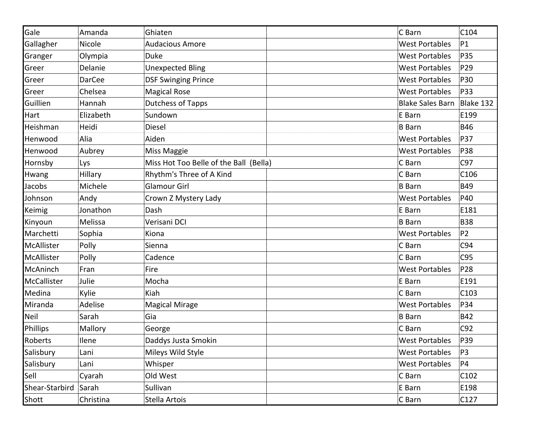| Gale           | Amanda        | Ghiaten                                | C Barn                  | C104           |
|----------------|---------------|----------------------------------------|-------------------------|----------------|
| Gallagher      | Nicole        | <b>Audacious Amore</b>                 | <b>West Portables</b>   | P1             |
| Granger        | Olympia       | Duke                                   | <b>West Portables</b>   | P35            |
| Greer          | Delanie       | <b>Unexpected Bling</b>                | <b>West Portables</b>   | P29            |
| Greer          | <b>DarCee</b> | <b>DSF Swinging Prince</b>             | <b>West Portables</b>   | P30            |
| Greer          | Chelsea       | <b>Magical Rose</b>                    | <b>West Portables</b>   | P33            |
| Guillien       | Hannah        | <b>Dutchess of Tapps</b>               | <b>Blake Sales Barn</b> | Blake 132      |
| Hart           | Elizabeth     | Sundown                                | E Barn                  | E199           |
| Heishman       | Heidi         | Diesel                                 | <b>B</b> Barn           | <b>B46</b>     |
| Henwood        | Alia          | Aiden                                  | <b>West Portables</b>   | P37            |
| Henwood        | Aubrey        | Miss Maggie                            | <b>West Portables</b>   | P38            |
| Hornsby        | Lys           | Miss Hot Too Belle of the Ball (Bella) | C Barn                  | C97            |
| Hwang          | Hillary       | Rhythm's Three of A Kind               | C Barn                  | C106           |
| Jacobs         | Michele       | <b>Glamour Girl</b>                    | <b>B</b> Barn           | <b>B49</b>     |
| Johnson        | Andy          | Crown Z Mystery Lady                   | <b>West Portables</b>   | P40            |
| Keimig         | Jonathon      | Dash                                   | E Barn                  | E181           |
| Kinyoun        | Melissa       | Verisani DCI                           | <b>B</b> Barn           | <b>B38</b>     |
| Marchetti      | Sophia        | Kiona                                  | <b>West Portables</b>   | P <sub>2</sub> |
| McAllister     | Polly         | Sienna                                 | C Barn                  | C94            |
| McAllister     | Polly         | Cadence                                | C Barn                  | C95            |
| McAninch       | Fran          | Fire                                   | <b>West Portables</b>   | P28            |
| McCallister    | Julie         | Mocha                                  | E Barn                  | E191           |
| Medina         | Kylie         | Kiah                                   | C Barn                  | C103           |
| Miranda        | Adelise       | <b>Magical Mirage</b>                  | <b>West Portables</b>   | P34            |
| Neil           | Sarah         | Gia                                    | <b>B</b> Barn           | <b>B42</b>     |
| Phillips       | Mallory       | George                                 | C Barn                  | C92            |
| Roberts        | Ilene         | Daddys Justa Smokin                    | <b>West Portables</b>   | P39            |
| Salisbury      | Lani          | Mileys Wild Style                      | <b>West Portables</b>   | P <sub>3</sub> |
| Salisbury      | Lani          | Whisper                                | <b>West Portables</b>   | P4             |
| Sell           | Cyarah        | Old West                               | C Barn                  | C102           |
| Shear-Starbird | Sarah         | Sullivan                               | E Barn                  | E198           |
| Shott          | Christina     | Stella Artois                          | C Barn                  | C127           |